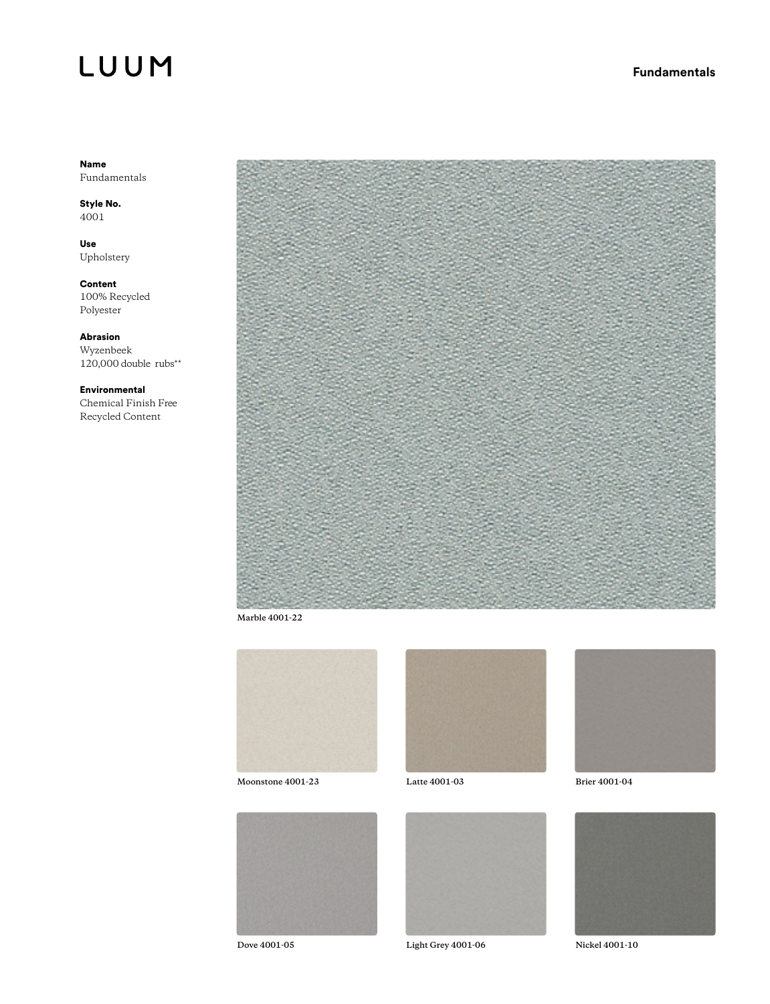## LUUM

#### Name Fundamentals

Style No. 4001

Use Upholstery

Content 100% Recycled Polyester

Abrasion Wyzenbeek  $120,000$  double rubs<sup>\*\*</sup>

Environmental Chemical Finish Free Recycled Content



**Marble 4001-22**



**Moonstone 4001-23**







**Dove 4001-05 Light Grey 4001-06 Nickel 4001-10**



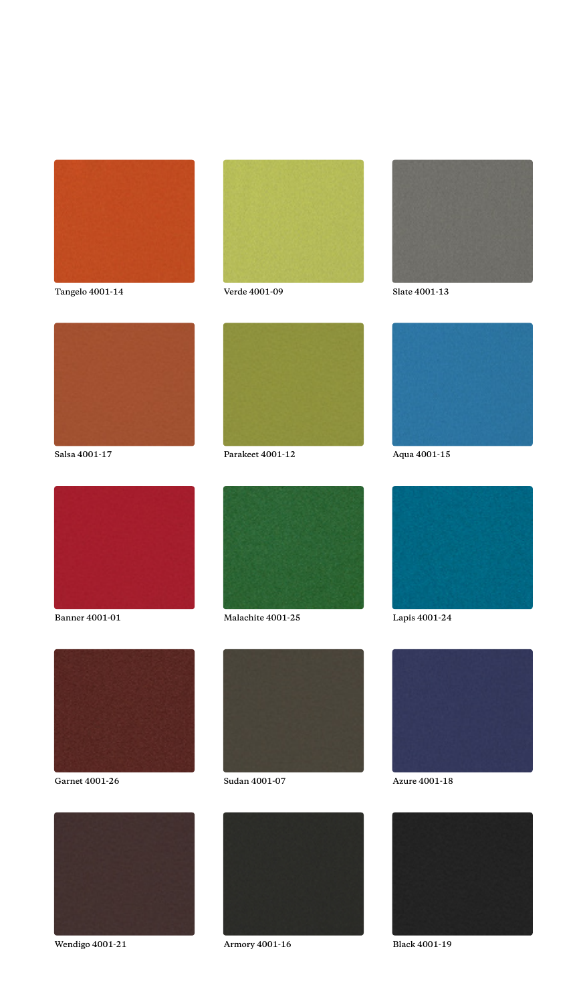

**Tangelo 4001-14 Verde 4001-09 Slate 4001-13**

















**Wendigo 4001-21 Armory 4001-16 Black 4001-19**